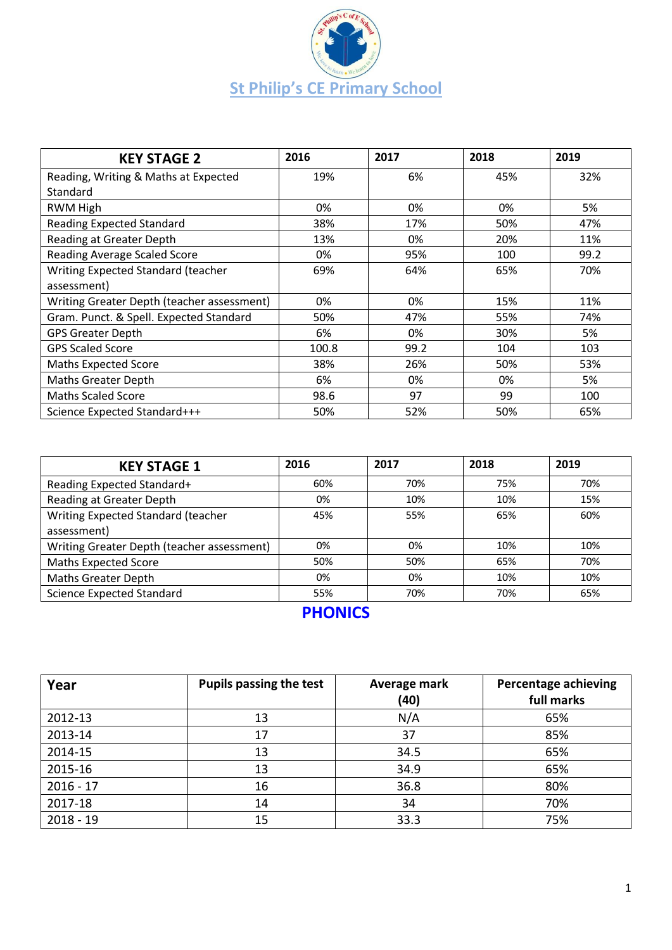

| <b>KEY STAGE 2</b>                         | 2016  | 2017 | 2018 | 2019 |
|--------------------------------------------|-------|------|------|------|
| Reading, Writing & Maths at Expected       | 19%   | 6%   | 45%  | 32%  |
| Standard                                   |       |      |      |      |
| RWM High                                   | 0%    | 0%   | 0%   | 5%   |
| <b>Reading Expected Standard</b>           | 38%   | 17%  | 50%  | 47%  |
| Reading at Greater Depth                   | 13%   | 0%   | 20%  | 11%  |
| <b>Reading Average Scaled Score</b>        | 0%    | 95%  | 100  | 99.2 |
| Writing Expected Standard (teacher         | 69%   | 64%  | 65%  | 70%  |
| assessment)                                |       |      |      |      |
| Writing Greater Depth (teacher assessment) | 0%    | 0%   | 15%  | 11%  |
| Gram. Punct. & Spell. Expected Standard    | 50%   | 47%  | 55%  | 74%  |
| <b>GPS Greater Depth</b>                   | 6%    | 0%   | 30%  | 5%   |
| <b>GPS Scaled Score</b>                    | 100.8 | 99.2 | 104  | 103  |
| <b>Maths Expected Score</b>                | 38%   | 26%  | 50%  | 53%  |
| <b>Maths Greater Depth</b>                 | 6%    | 0%   | 0%   | 5%   |
| <b>Maths Scaled Score</b>                  | 98.6  | 97   | 99   | 100  |
| Science Expected Standard+++               | 50%   | 52%  | 50%  | 65%  |

| <b>KEY STAGE 1</b>                         | 2016 | 2017 | 2018 | 2019 |
|--------------------------------------------|------|------|------|------|
| Reading Expected Standard+                 | 60%  | 70%  | 75%  | 70%  |
| Reading at Greater Depth                   | 0%   | 10%  | 10%  | 15%  |
| Writing Expected Standard (teacher         | 45%  | 55%  | 65%  | 60%  |
| assessment)                                |      |      |      |      |
| Writing Greater Depth (teacher assessment) | 0%   | 0%   | 10%  | 10%  |
| <b>Maths Expected Score</b>                | 50%  | 50%  | 65%  | 70%  |
| <b>Maths Greater Depth</b>                 | 0%   | 0%   | 10%  | 10%  |
| <b>Science Expected Standard</b>           | 55%  | 70%  | 70%  | 65%  |

## **PHONICS**

| Year        | <b>Pupils passing the test</b> | Average mark<br>(40) | <b>Percentage achieving</b><br>full marks |
|-------------|--------------------------------|----------------------|-------------------------------------------|
| 2012-13     | 13                             | N/A                  | 65%                                       |
| 2013-14     | 17                             | 37                   | 85%                                       |
| 2014-15     | 13                             | 34.5                 | 65%                                       |
| 2015-16     | 13                             | 34.9                 | 65%                                       |
| $2016 - 17$ | 16                             | 36.8                 | 80%                                       |
| 2017-18     | 14                             | 34                   | 70%                                       |
| $2018 - 19$ | 15                             | 33.3                 | 75%                                       |